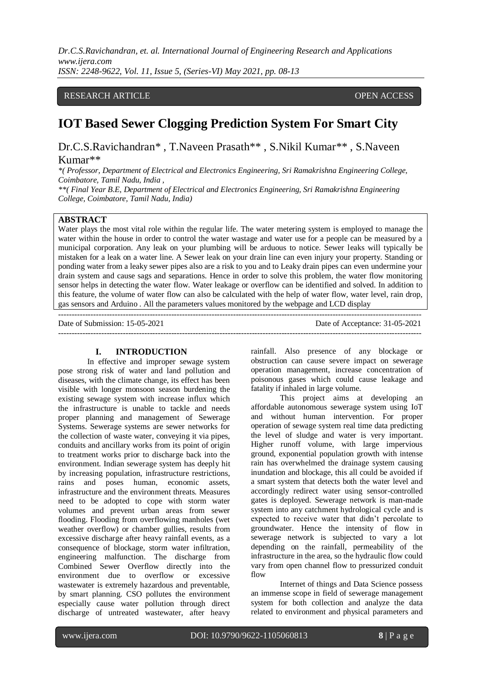# RESEARCH ARTICLE **CONSERVERS** OPEN ACCESS

# **IOT Based Sewer Clogging Prediction System For Smart City**

Dr.C.S.Ravichandran\* , T.Naveen Prasath\*\* , S.Nikil Kumar\*\* , S.Naveen Kumar\*\*

*\*( Professor, Department of Electrical and Electronics Engineering, Sri Ramakrishna Engineering College, Coimbatore, Tamil Nadu, India ,* 

*\*\*( Final Year B.E, Department of Electrical and Electronics Engineering, Sri Ramakrishna Engineering College, Coimbatore, Tamil Nadu, India)* 

## **ABSTRACT**

Water plays the most vital role within the regular life. The water metering system is employed to manage the water within the house in order to control the water wastage and water use for a people can be measured by a municipal corporation. Any leak on your plumbing will be arduous to notice. Sewer leaks will typically be mistaken for a leak on a water line. A Sewer leak on your drain line can even injury your property. Standing or ponding water from a leaky sewer pipes also are a risk to you and to Leaky drain pipes can even undermine your drain system and cause sags and separations. Hence in order to solve this problem, the water flow monitoring sensor helps in detecting the water flow. Water leakage or overflow can be identified and solved. In addition to this feature, the volume of water flow can also be calculated with the help of water flow, water level, rain drop, gas sensors and Arduino . All the parameters values monitored by the webpage and LCD display

---------------------------------------------------------------------------------------------------------------------------------------

Date of Submission: 15-05-2021 Date of Acceptance: 31-05-2021

 $-1-\frac{1}{2}$ 

#### **I. INTRODUCTION**

In effective and improper sewage system pose strong risk of water and land pollution and diseases, with the climate change, its effect has been visible with longer monsoon season burdening the existing sewage system with increase influx which the infrastructure is unable to tackle and needs proper planning and management of Sewerage Systems. Sewerage systems are sewer networks for the collection of waste water, conveying it via pipes, conduits and ancillary works from its point of origin to treatment works prior to discharge back into the environment. Indian sewerage system has deeply hit by increasing population, infrastructure restrictions, rains and poses human, economic assets, infrastructure and the environment threats. Measures need to be adopted to cope with storm water volumes and prevent urban areas from sewer flooding. Flooding from overflowing manholes (wet weather overflow) or chamber gullies, results from excessive discharge after heavy rainfall events, as a consequence of blockage, storm water infiltration, engineering malfunction. The discharge from Combined Sewer Overflow directly into the environment due to overflow or excessive wastewater is extremely hazardous and preventable, by smart planning. CSO pollutes the environment especially cause water pollution through direct discharge of untreated wastewater, after heavy rainfall. Also presence of any blockage or obstruction can cause severe impact on sewerage operation management, increase concentration of poisonous gases which could cause leakage and fatality if inhaled in large volume.

This project aims at developing an affordable autonomous sewerage system using IoT and without human intervention. For proper operation of sewage system real time data predicting the level of sludge and water is very important. Higher runoff volume, with large impervious ground, exponential population growth with intense rain has overwhelmed the drainage system causing inundation and blockage, this all could be avoided if a smart system that detects both the water level and accordingly redirect water using sensor-controlled gates is deployed. Sewerage network is man-made system into any catchment hydrological cycle and is expected to receive water that didn't percolate to groundwater. Hence the intensity of flow in sewerage network is subjected to vary a lot depending on the rainfall, permeability of the infrastructure in the area, so the hydraulic flow could vary from open channel flow to pressurized conduit flow

Internet of things and Data Science possess an immense scope in field of sewerage management system for both collection and analyze the data related to environment and physical parameters and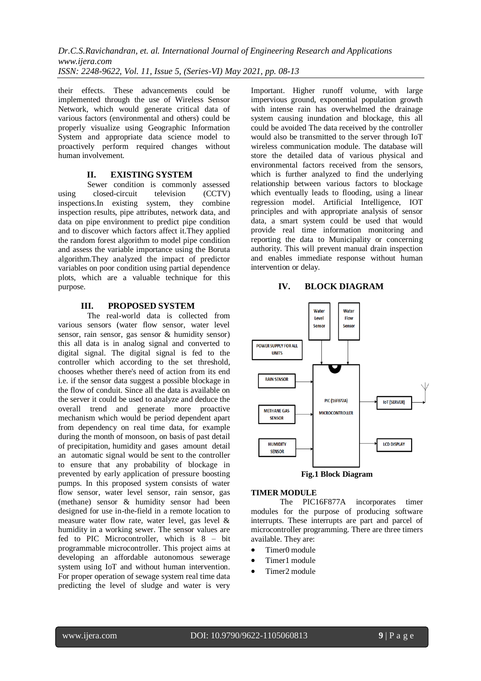their effects. These advancements could be implemented through the use of Wireless Sensor Network, which would generate critical data of various factors (environmental and others) could be properly visualize using Geographic Information System and appropriate data science model to proactively perform required changes without human involvement.

# **II. EXISTING SYSTEM**

Sewer condition is commonly assessed using closed-circuit television (CCTV) inspections.In existing system, they combine inspection results, pipe attributes, network data, and data on pipe environment to predict pipe condition and to discover which factors affect it.They applied the random forest algorithm to model pipe condition and assess the variable importance using the Boruta algorithm.They analyzed the impact of predictor variables on poor condition using partial dependence plots, which are a valuable technique for this purpose.

## **III. PROPOSED SYSTEM**

The real-world data is collected from various sensors (water flow sensor, water level sensor, rain sensor, gas sensor & humidity sensor) this all data is in analog signal and converted to digital signal. The digital signal is fed to the controller which according to the set threshold, chooses whether there's need of action from its end i.e. if the sensor data suggest a possible blockage in the flow of conduit. Since all the data is available on the server it could be used to analyze and deduce the overall trend and generate more proactive mechanism which would be period dependent apart from dependency on real time data, for example during the month of monsoon, on basis of past detail of precipitation, humidity and gases amount detail an automatic signal would be sent to the controller to ensure that any probability of blockage in prevented by early application of pressure boosting pumps. In this proposed system consists of water flow sensor, water level sensor, rain sensor, gas (methane) sensor & humidity sensor had been designed for use in-the-field in a remote location to measure water flow rate, water level, gas level & humidity in a working sewer. The sensor values are fed to PIC Microcontroller, which is 8 – bit programmable microcontroller. This project aims at developing an affordable autonomous sewerage system using IoT and without human intervention. For proper operation of sewage system real time data predicting the level of sludge and water is very

Important. Higher runoff volume, with large impervious ground, exponential population growth with intense rain has overwhelmed the drainage system causing inundation and blockage, this all could be avoided The data received by the controller would also be transmitted to the server through IoT wireless communication module. The database will store the detailed data of various physical and environmental factors received from the sensors, which is further analyzed to find the underlying relationship between various factors to blockage which eventually leads to flooding, using a linear regression model. Artificial Intelligence, IOT principles and with appropriate analysis of sensor data, a smart system could be used that would provide real time information monitoring and reporting the data to Municipality or concerning authority. This will prevent manual drain inspection and enables immediate response without human intervention or delay.

#### **IV. BLOCK DIAGRAM**



# **Fig.1 Block Diagram**

## **TIMER MODULE**

The PIC16F877A incorporates timer modules for the purpose of producing software interrupts. These interrupts are part and parcel of microcontroller programming. There are three timers available. They are:

- Timer0 module
- Timer1 module
- Timer2 module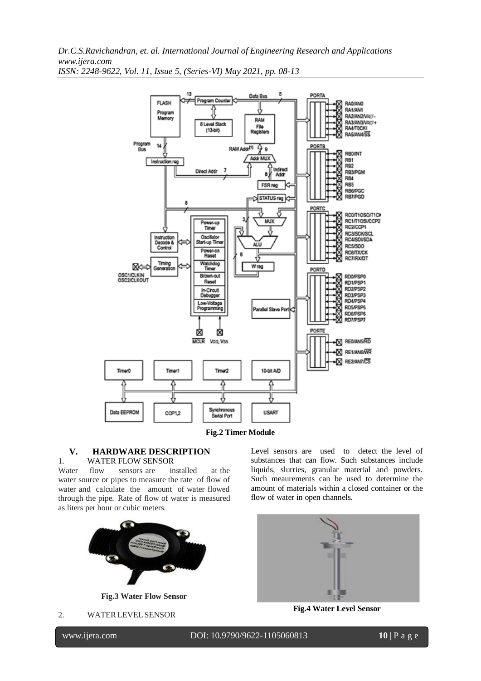

**Fig.2 Timer Module**

#### **V. HARDWARE DESCRIPTION**

## 1. WATER FLOW SENSOR

Water flow sensors are installed at the water source or pipes to measure the rate of flow of water and calculate the amount of water flowed through the pipe. Rate of flow of water is measured as liters per hour or cubic meters.



**Fig.3 Water Flow Sensor**

2. WATER LEVEL SENSOR

Level sensors are used to detect the level of substances that can flow. Such substances include liquids, slurries, granular material and powders. Such meaurements can be used to determine the amount of materials within a closed container or the flow of water in open channels.



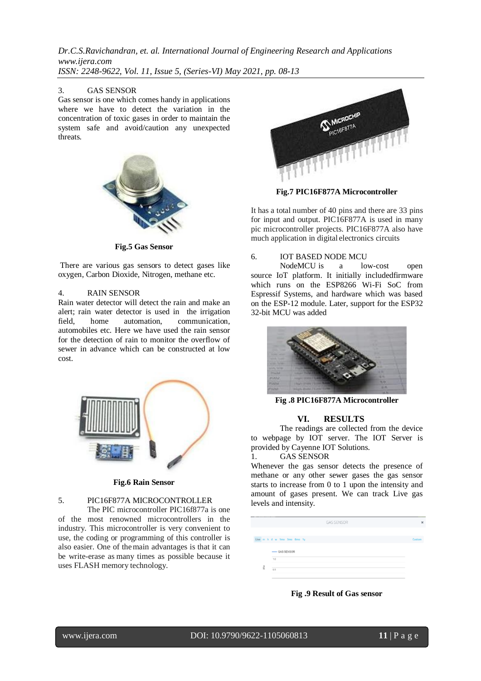#### 3. GAS SENSOR

Gas sensor is one which comes handy in applications where we have to detect the variation in the concentration of toxic gases in order to maintain the system safe and avoid/caution any unexpected threats.



**Fig.5 Gas Sensor**

There are various gas sensors to detect gases like oxygen, Carbon Dioxide, Nitrogen, methane etc.

#### 4. RAIN SENSOR

Rain water detector will detect the rain and make an alert; rain water detector is used in the irrigation field, home automation, communication, automobiles etc. Here we have used the rain sensor for the detection of rain to monitor the overflow of sewer in advance which can be constructed at low cost.



#### **Fig.6 Rain Sensor**

# 5. PIC16F877A MICROCONTROLLER

The PIC microcontroller PIC16f877a is one of the most renowned microcontrollers in the industry. This microcontroller is very convenient to use, the coding or programming of this controller is also easier. One of themain advantages is that it can be write-erase as many times as possible because it uses FLASH memory technology.



**Fig.7 PIC16F877A Microcontroller**

It has a total number of 40 pins and there are 33 pins for input and output. PIC16F877A is used in many [pic](https://microcontrollerslab.com/pic-microcontroller-projects-for-eee-students/) [microcontroller projects.](https://microcontrollerslab.com/pic-microcontroller-projects-for-eee-students/) PIC16F877A also have much application in digital [electronics](https://microcontrollerslab.com/electronics-projects/) [circuits](https://microcontrollerslab.com/electronics-projects/)

#### 6. IOT BASED NODE MCU

NodeMCU is a low-cost open source IoT platform. It initially includedfirmware which runs on the ESP8266 Wi-Fi SoC from Espressif Systems, and hardware which was based on the ESP-12 module. Later, support for the ESP32 32-bit MCU was added



**Fig .8 PIC16F877A Microcontroller**

#### **VI. RESULTS**

The readings are collected from the device to webpage by IOT server. The IOT Server is provided by Cayenne IOT Solutions.

## 1. GAS SENSOR

Whenever the gas sensor detects the presence of methane or any other sewer gases the gas sensor starts to increase from 0 to 1 upon the intensity and amount of gases present. We can track Live gas levels and intensity.

|                             | <b>GAS SENSOR</b> | $\pmb{\times}$ |
|-----------------------------|-------------------|----------------|
|                             |                   |                |
| Live m h d w 1mo 3mo 6mo 1y |                   | Custom         |
|                             | -GAS SENSOR       |                |
|                             | 1.0               |                |
| <b>Stip</b>                 | 0.5               |                |
|                             |                   |                |

**Fig .9 Result of Gas sensor**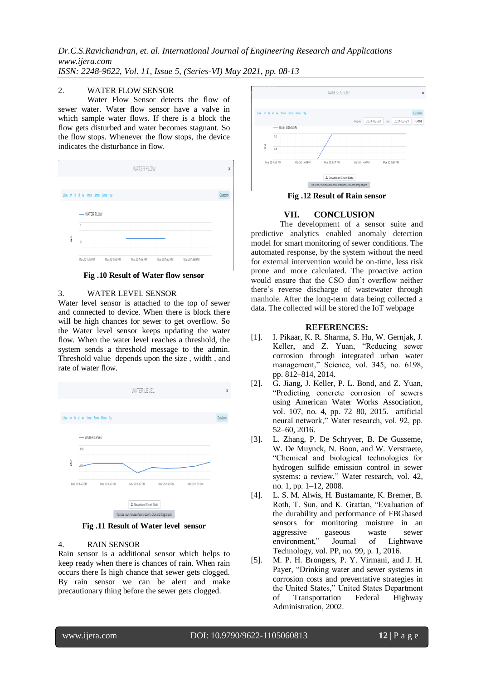#### 2. WATER FLOW SENSOR

Water Flow Sensor detects the flow of sewer water. Water flow sensor have a valve in which sample water flows. If there is a block the flow gets disturbed and water becomes stagnant. So the flow stops. Whenever the flow stops, the device indicates the disturbance in flow.



**Fig .10 Result of Water flow sensor**

#### 3. WATER LEVEL SENSOR

Water level sensor is attached to the top of sewer and connected to device. When there is block there will be high chances for sewer to get overflow. So the Water level sensor keeps updating the water flow. When the water level reaches a threshold, the system sends a threshold message to the admin. Threshold value depends upon the size , width , and rate of water flow.



**Fig .11 Result of Water level sensor**

#### 4. RAIN SENSOR

Rain sensor is a additional sensor which helps to keep ready when there is chances of rain. When rain occurs there Is high chance that sewer gets clogged. By rain sensor we can be alert and make precautionary thing before the sewer gets clogged.



**Fig .12 Result of Rain sensor**

## **VII. CONCLUSION**

The development of a sensor suite and predictive analytics enabled anomaly detection model for smart monitoring of sewer conditions. The automated response, by the system without the need for external intervention would be on-time, less risk prone and more calculated. The proactive action would ensure that the CSO don't overflow neither there's reverse discharge of wastewater through manhole. After the long-term data being collected a data. The collected will be stored the IoT webpage

## **REFERENCES:**

- [1]. I. Pikaar, K. R. Sharma, S. Hu, W. Gernjak, J. Keller, and Z. Yuan, "Reducing sewer corrosion through integrated urban water management," Science, vol. 345, no. 6198, pp. 812–814, 2014.
- [2]. G. Jiang, J. Keller, P. L. Bond, and Z. Yuan, "Predicting concrete corrosion of sewers using American Water Works Association, vol. 107, no. 4, pp. 72–80, 2015. artificial neural network," Water research, vol. 92, pp. 52–60, 2016.
- [3]. L. Zhang, P. De Schryver, B. De Gusseme, W. De Muynck, N. Boon, and W. Verstraete, "Chemical and biological technologies for hydrogen sulfide emission control in sewer systems: a review," Water research, vol. 42, no. 1, pp. 1–12, 2008.
- [4]. L. S. M. Alwis, H. Bustamante, K. Bremer, B. Roth, T. Sun, and K. Grattan, "Evaluation of the durability and performance of FBGbased sensors for monitoring moisture in an aggressive gaseous waste sewer environment," Journal of Lightwave Technology, vol. PP, no. 99, p. 1, 2016.
- [5]. M. P. H. Brongers, P. Y. Virmani, and J. H. Payer, "Drinking water and sewer systems in corrosion costs and preventative strategies in the United States," United States Department of Transportation Federal Highway Administration, 2002.